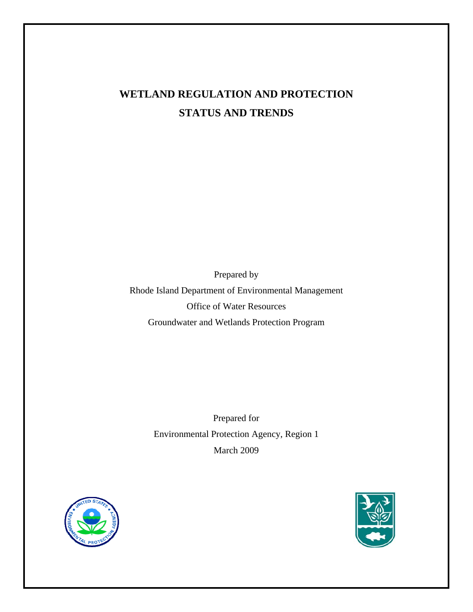# **WETLAND REGULATION AND PROTECTION STATUS AND TRENDS**

Prepared by Rhode Island Department of Environmental Management Office of Water Resources Groundwater and Wetlands Protection Program

> Prepared for Environmental Protection Agency, Region 1 March 2009



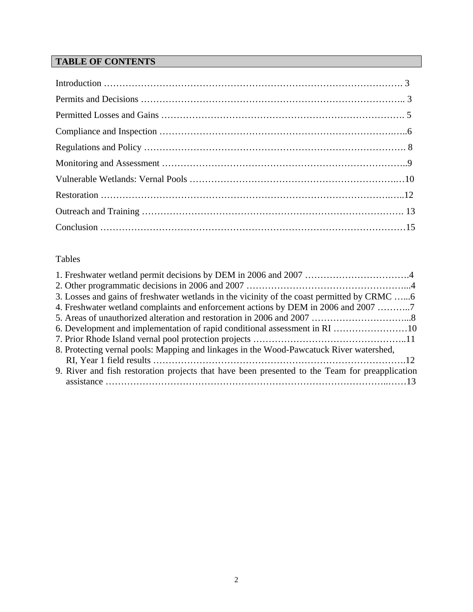## **TABLE OF CONTENTS**

## Tables

| 3. Losses and gains of freshwater wetlands in the vicinity of the coast permitted by CRMC      |  |
|------------------------------------------------------------------------------------------------|--|
| 4. Freshwater wetland complaints and enforcement actions by DEM in 2006 and 2007               |  |
|                                                                                                |  |
| 6. Development and implementation of rapid conditional assessment in RI 10                     |  |
|                                                                                                |  |
| 8. Protecting vernal pools: Mapping and linkages in the Wood-Pawcatuck River watershed,        |  |
|                                                                                                |  |
| 9. River and fish restoration projects that have been presented to the Team for preapplication |  |
|                                                                                                |  |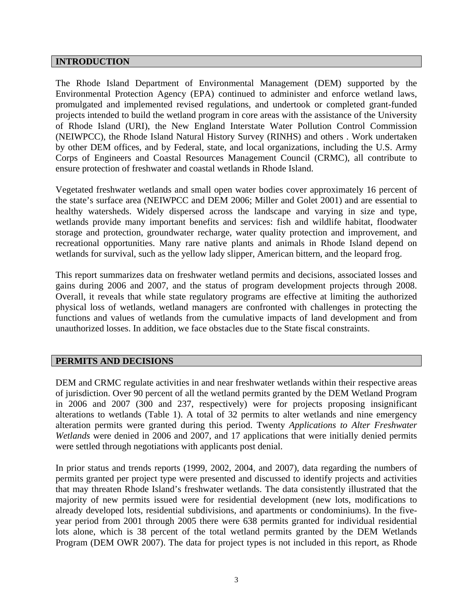## **INTRODUCTION**

The Rhode Island Department of Environmental Management (DEM) supported by the Environmental Protection Agency (EPA) continued to administer and enforce wetland laws, promulgated and implemented revised regulations, and undertook or completed grant-funded projects intended to build the wetland program in core areas with the assistance of the University of Rhode Island (URI), the New England Interstate Water Pollution Control Commission (NEIWPCC), the Rhode Island Natural History Survey (RINHS) and others . Work undertaken by other DEM offices, and by Federal, state, and local organizations, including the U.S. Army Corps of Engineers and Coastal Resources Management Council (CRMC), all contribute to ensure protection of freshwater and coastal wetlands in Rhode Island.

Vegetated freshwater wetlands and small open water bodies cover approximately 16 percent of the state's surface area (NEIWPCC and DEM 2006; Miller and Golet 2001) and are essential to healthy watersheds. Widely dispersed across the landscape and varying in size and type, wetlands provide many important benefits and services: fish and wildlife habitat, floodwater storage and protection, groundwater recharge, water quality protection and improvement, and recreational opportunities. Many rare native plants and animals in Rhode Island depend on wetlands for survival, such as the yellow lady slipper, American bittern, and the leopard frog.

This report summarizes data on freshwater wetland permits and decisions, associated losses and gains during 2006 and 2007, and the status of program development projects through 2008. Overall, it reveals that while state regulatory programs are effective at limiting the authorized physical loss of wetlands, wetland managers are confronted with challenges in protecting the functions and values of wetlands from the cumulative impacts of land development and from unauthorized losses. In addition, we face obstacles due to the State fiscal constraints.

## **PERMITS AND DECISIONS**

DEM and CRMC regulate activities in and near freshwater wetlands within their respective areas of jurisdiction. Over 90 percent of all the wetland permits granted by the DEM Wetland Program in 2006 and 2007 (300 and 237, respectively) were for projects proposing insignificant alterations to wetlands (Table 1). A total of 32 permits to alter wetlands and nine emergency alteration permits were granted during this period. Twenty *Applications to Alter Freshwater Wetlands* were denied in 2006 and 2007, and 17 applications that were initially denied permits were settled through negotiations with applicants post denial.

In prior status and trends reports (1999, 2002, 2004, and 2007), data regarding the numbers of permits granted per project type were presented and discussed to identify projects and activities that may threaten Rhode Island's freshwater wetlands. The data consistently illustrated that the majority of new permits issued were for residential development (new lots, modifications to already developed lots, residential subdivisions, and apartments or condominiums). In the fiveyear period from 2001 through 2005 there were 638 permits granted for individual residential lots alone, which is 38 percent of the total wetland permits granted by the DEM Wetlands Program (DEM OWR 2007). The data for project types is not included in this report, as Rhode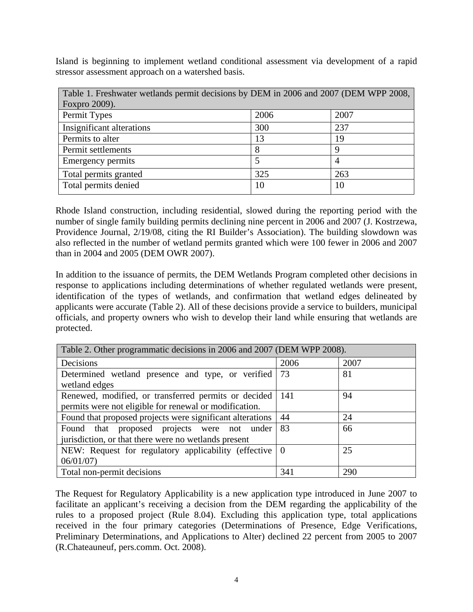Island is beginning to implement wetland conditional assessment via development of a rapid stressor assessment approach on a watershed basis.

| Table 1. Freshwater wetlands permit decisions by DEM in 2006 and 2007 (DEM WPP 2008, |      |                |
|--------------------------------------------------------------------------------------|------|----------------|
| Foxpro 2009).                                                                        |      |                |
| Permit Types                                                                         | 2006 | 2007           |
| Insignificant alterations                                                            | 300  | 237            |
| Permits to alter                                                                     | 13   | 19             |
| Permit settlements                                                                   |      | 9              |
| <b>Emergency permits</b>                                                             |      | $\overline{A}$ |
| Total permits granted                                                                | 325  | 263            |
| Total permits denied                                                                 | 10   | 10             |

Rhode Island construction, including residential, slowed during the reporting period with the number of single family building permits declining nine percent in 2006 and 2007 (J. Kostrzewa, Providence Journal, 2/19/08, citing the RI Builder's Association). The building slowdown was also reflected in the number of wetland permits granted which were 100 fewer in 2006 and 2007 than in 2004 and 2005 (DEM OWR 2007).

In addition to the issuance of permits, the DEM Wetlands Program completed other decisions in response to applications including determinations of whether regulated wetlands were present, identification of the types of wetlands, and confirmation that wetland edges delineated by applicants were accurate (Table 2). All of these decisions provide a service to builders, municipal officials, and property owners who wish to develop their land while ensuring that wetlands are protected.

| Table 2. Other programmatic decisions in 2006 and 2007 (DEM WPP 2008). |      |      |
|------------------------------------------------------------------------|------|------|
| Decisions                                                              | 2006 | 2007 |
| Determined wetland presence and type, or verified                      | 73   | 81   |
| wetland edges                                                          |      |      |
| Renewed, modified, or transferred permits or decided                   | 141  | 94   |
| permits were not eligible for renewal or modification.                 |      |      |
| Found that proposed projects were significant alterations              | 44   | 24   |
| Found that proposed projects were not under                            | 83   | 66   |
| jurisdiction, or that there were no wetlands present                   |      |      |
| NEW: Request for regulatory applicability (effective $\vert 0 \rangle$ |      | 25   |
| 06/01/07                                                               |      |      |
| Total non-permit decisions                                             | 341  | 290  |

The Request for Regulatory Applicability is a new application type introduced in June 2007 to facilitate an applicant's receiving a decision from the DEM regarding the applicability of the rules to a proposed project (Rule 8.04). Excluding this application type, total applications received in the four primary categories (Determinations of Presence, Edge Verifications, Preliminary Determinations, and Applications to Alter) declined 22 percent from 2005 to 2007 (R.Chateauneuf, pers.comm. Oct. 2008).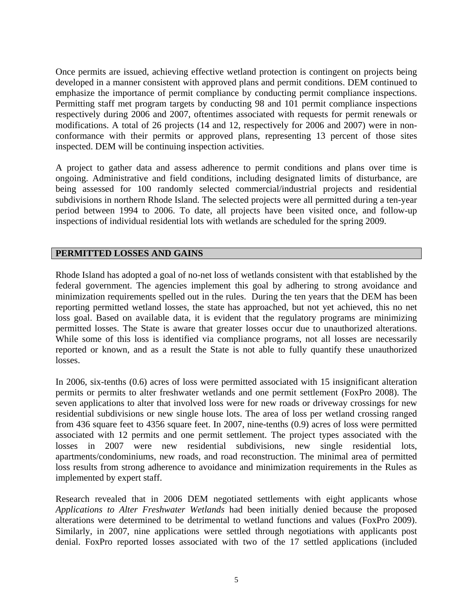Once permits are issued, achieving effective wetland protection is contingent on projects being developed in a manner consistent with approved plans and permit conditions. DEM continued to emphasize the importance of permit compliance by conducting permit compliance inspections. Permitting staff met program targets by conducting 98 and 101 permit compliance inspections respectively during 2006 and 2007, oftentimes associated with requests for permit renewals or modifications. A total of 26 projects (14 and 12, respectively for 2006 and 2007) were in nonconformance with their permits or approved plans, representing 13 percent of those sites inspected. DEM will be continuing inspection activities.

A project to gather data and assess adherence to permit conditions and plans over time is ongoing. Administrative and field conditions, including designated limits of disturbance, are being assessed for 100 randomly selected commercial/industrial projects and residential subdivisions in northern Rhode Island. The selected projects were all permitted during a ten-year period between 1994 to 2006. To date, all projects have been visited once, and follow-up inspections of individual residential lots with wetlands are scheduled for the spring 2009.

## **PERMITTED LOSSES AND GAINS**

Rhode Island has adopted a goal of no-net loss of wetlands consistent with that established by the federal government. The agencies implement this goal by adhering to strong avoidance and minimization requirements spelled out in the rules. During the ten years that the DEM has been reporting permitted wetland losses, the state has approached, but not yet achieved, this no net loss goal. Based on available data, it is evident that the regulatory programs are minimizing permitted losses. The State is aware that greater losses occur due to unauthorized alterations. While some of this loss is identified via compliance programs, not all losses are necessarily reported or known, and as a result the State is not able to fully quantify these unauthorized losses.

In 2006, six-tenths (0.6) acres of loss were permitted associated with 15 insignificant alteration permits or permits to alter freshwater wetlands and one permit settlement (FoxPro 2008). The seven applications to alter that involved loss were for new roads or driveway crossings for new residential subdivisions or new single house lots. The area of loss per wetland crossing ranged from 436 square feet to 4356 square feet. In 2007, nine-tenths (0.9) acres of loss were permitted associated with 12 permits and one permit settlement. The project types associated with the losses in 2007 were new residential subdivisions, new single residential lots, apartments/condominiums, new roads, and road reconstruction. The minimal area of permitted loss results from strong adherence to avoidance and minimization requirements in the Rules as implemented by expert staff.

Research revealed that in 2006 DEM negotiated settlements with eight applicants whose *Applications to Alter Freshwater Wetlands* had been initially denied because the proposed alterations were determined to be detrimental to wetland functions and values (FoxPro 2009). Similarly, in 2007, nine applications were settled through negotiations with applicants post denial. FoxPro reported losses associated with two of the 17 settled applications (included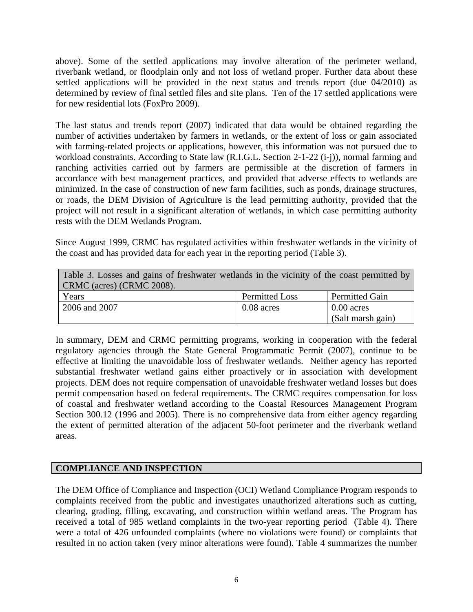above). Some of the settled applications may involve alteration of the perimeter wetland, riverbank wetland, or floodplain only and not loss of wetland proper. Further data about these settled applications will be provided in the next status and trends report (due 04/2010) as determined by review of final settled files and site plans. Ten of the 17 settled applications were for new residential lots (FoxPro 2009).

The last status and trends report (2007) indicated that data would be obtained regarding the number of activities undertaken by farmers in wetlands, or the extent of loss or gain associated with farming-related projects or applications, however, this information was not pursued due to workload constraints. According to State law (R.I.G.L. Section 2-1-22 (i-j)), normal farming and ranching activities carried out by farmers are permissible at the discretion of farmers in accordance with best management practices, and provided that adverse effects to wetlands are minimized. In the case of construction of new farm facilities, such as ponds, drainage structures, or roads, the DEM Division of Agriculture is the lead permitting authority, provided that the project will not result in a significant alteration of wetlands, in which case permitting authority rests with the DEM Wetlands Program.

Since August 1999, CRMC has regulated activities within freshwater wetlands in the vicinity of the coast and has provided data for each year in the reporting period (Table 3).

| Table 3. Losses and gains of freshwater wetlands in the vicinity of the coast permitted by |                |                       |  |
|--------------------------------------------------------------------------------------------|----------------|-----------------------|--|
| CRMC (acres) (CRMC 2008).                                                                  |                |                       |  |
| Years                                                                                      | Permitted Loss | <b>Permitted Gain</b> |  |
| 2006 and 2007                                                                              | $0.08$ acres   | $0.00$ acres          |  |
|                                                                                            |                | (Salt marsh gain)     |  |

In summary, DEM and CRMC permitting programs, working in cooperation with the federal regulatory agencies through the State General Programmatic Permit (2007), continue to be effective at limiting the unavoidable loss of freshwater wetlands. Neither agency has reported substantial freshwater wetland gains either proactively or in association with development projects. DEM does not require compensation of unavoidable freshwater wetland losses but does permit compensation based on federal requirements. The CRMC requires compensation for loss of coastal and freshwater wetland according to the Coastal Resources Management Program Section 300.12 (1996 and 2005). There is no comprehensive data from either agency regarding the extent of permitted alteration of the adjacent 50-foot perimeter and the riverbank wetland areas.

## **COMPLIANCE AND INSPECTION**

The DEM Office of Compliance and Inspection (OCI) Wetland Compliance Program responds to complaints received from the public and investigates unauthorized alterations such as cutting, clearing, grading, filling, excavating, and construction within wetland areas. The Program has received a total of 985 wetland complaints in the two-year reporting period (Table 4). There were a total of 426 unfounded complaints (where no violations were found) or complaints that resulted in no action taken (very minor alterations were found). Table 4 summarizes the number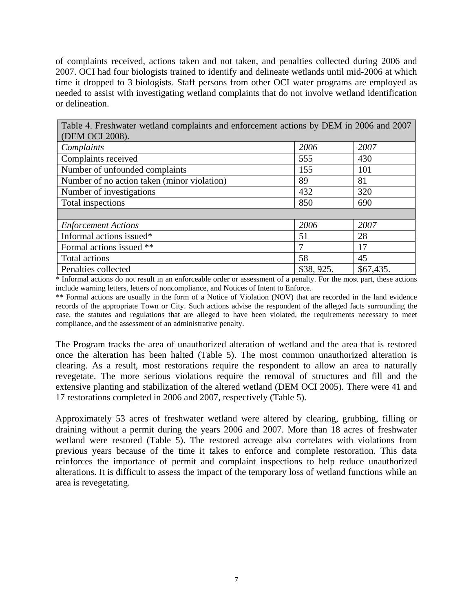of complaints received, actions taken and not taken, and penalties collected during 2006 and 2007. OCI had four biologists trained to identify and delineate wetlands until mid-2006 at which time it dropped to 3 biologists. Staff persons from other OCI water programs are employed as needed to assist with investigating wetland complaints that do not involve wetland identification or delineation.

| Table 4. Freshwater wetland complaints and enforcement actions by DEM in 2006 and 2007 |           |           |  |  |
|----------------------------------------------------------------------------------------|-----------|-----------|--|--|
| (DEM OCI 2008).                                                                        |           |           |  |  |
| Complaints                                                                             | 2006      | 2007      |  |  |
| Complaints received                                                                    | 555       | 430       |  |  |
| Number of unfounded complaints                                                         | 155       | 101       |  |  |
| Number of no action taken (minor violation)                                            | 89        | 81        |  |  |
| Number of investigations                                                               | 432       | 320       |  |  |
| Total inspections                                                                      | 850       | 690       |  |  |
|                                                                                        |           |           |  |  |
| <b>Enforcement Actions</b>                                                             | 2006      | 2007      |  |  |
| Informal actions issued*                                                               | 51        | 28        |  |  |
| Formal actions issued **                                                               | 7         | 17        |  |  |
| Total actions                                                                          | 58        | 45        |  |  |
| Penalties collected                                                                    | \$38,925. | \$67,435. |  |  |

\* Informal actions do not result in an enforceable order or assessment of a penalty. For the most part, these actions include warning letters, letters of noncompliance, and Notices of Intent to Enforce.

\*\* Formal actions are usually in the form of a Notice of Violation (NOV) that are recorded in the land evidence records of the appropriate Town or City. Such actions advise the respondent of the alleged facts surrounding the case, the statutes and regulations that are alleged to have been violated, the requirements necessary to meet compliance, and the assessment of an administrative penalty.

The Program tracks the area of unauthorized alteration of wetland and the area that is restored once the alteration has been halted (Table 5). The most common unauthorized alteration is clearing. As a result, most restorations require the respondent to allow an area to naturally revegetate. The more serious violations require the removal of structures and fill and the extensive planting and stabilization of the altered wetland (DEM OCI 2005). There were 41 and 17 restorations completed in 2006 and 2007, respectively (Table 5).

Approximately 53 acres of freshwater wetland were altered by clearing, grubbing, filling or draining without a permit during the years 2006 and 2007. More than 18 acres of freshwater wetland were restored (Table 5). The restored acreage also correlates with violations from previous years because of the time it takes to enforce and complete restoration. This data reinforces the importance of permit and complaint inspections to help reduce unauthorized alterations. It is difficult to assess the impact of the temporary loss of wetland functions while an area is revegetating.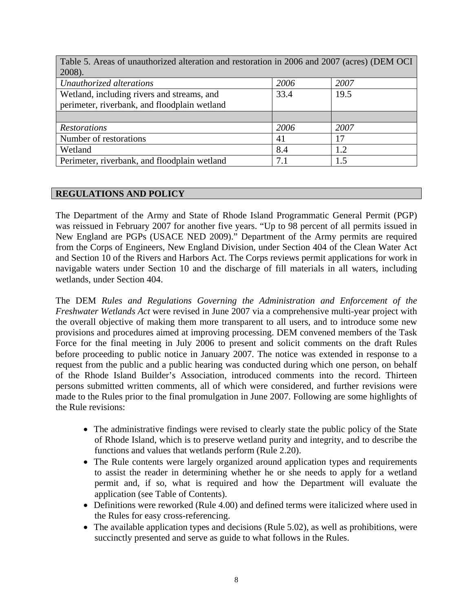| Table 5. Areas of unauthorized alteration and restoration in 2006 and 2007 (acres) (DEM OCI |      |      |  |  |
|---------------------------------------------------------------------------------------------|------|------|--|--|
| 2008).                                                                                      |      |      |  |  |
| Unauthorized alterations                                                                    | 2006 | 2007 |  |  |
| Wetland, including rivers and streams, and                                                  | 33.4 | 19.5 |  |  |
| perimeter, riverbank, and floodplain wetland                                                |      |      |  |  |
|                                                                                             |      |      |  |  |
| <b>Restorations</b>                                                                         | 2006 | 2007 |  |  |
| Number of restorations                                                                      | 41   | 17   |  |  |
| Wetland                                                                                     | 8.4  | 1.2  |  |  |
| Perimeter, riverbank, and floodplain wetland                                                | 7.1  |      |  |  |

## **REGULATIONS AND POLICY**

The Department of the Army and State of Rhode Island Programmatic General Permit (PGP) was reissued in February 2007 for another five years. "Up to 98 percent of all permits issued in New England are PGPs (USACE NED 2009)." Department of the Army permits are required from the Corps of Engineers, New England Division, under Section 404 of the Clean Water Act and Section 10 of the Rivers and Harbors Act. The Corps reviews permit applications for work in navigable waters under Section 10 and the discharge of fill materials in all waters, including wetlands, under Section 404.

The DEM *Rules and Regulations Governing the Administration and Enforcement of the Freshwater Wetlands Act* were revised in June 2007 via a comprehensive multi-year project with the overall objective of making them more transparent to all users, and to introduce some new provisions and procedures aimed at improving processing. DEM convened members of the Task Force for the final meeting in July 2006 to present and solicit comments on the draft Rules before proceeding to public notice in January 2007. The notice was extended in response to a request from the public and a public hearing was conducted during which one person, on behalf of the Rhode Island Builder's Association, introduced comments into the record. Thirteen persons submitted written comments, all of which were considered, and further revisions were made to the Rules prior to the final promulgation in June 2007. Following are some highlights of the Rule revisions:

- The administrative findings were revised to clearly state the public policy of the State of Rhode Island, which is to preserve wetland purity and integrity, and to describe the functions and values that wetlands perform (Rule 2.20).
- The Rule contents were largely organized around application types and requirements to assist the reader in determining whether he or she needs to apply for a wetland permit and, if so, what is required and how the Department will evaluate the application (see Table of Contents).
- Definitions were reworked (Rule 4.00) and defined terms were italicized where used in the Rules for easy cross-referencing.
- The available application types and decisions (Rule 5.02), as well as prohibitions, were succinctly presented and serve as guide to what follows in the Rules.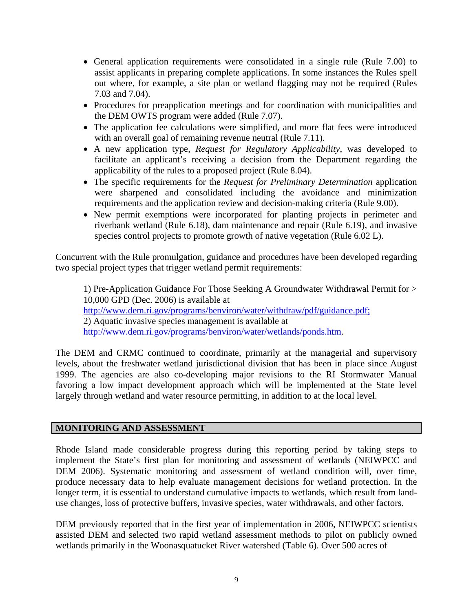- General application requirements were consolidated in a single rule (Rule 7.00) to assist applicants in preparing complete applications. In some instances the Rules spell out where, for example, a site plan or wetland flagging may not be required (Rules 7.03 and 7.04).
- Procedures for preapplication meetings and for coordination with municipalities and the DEM OWTS program were added (Rule 7.07).
- The application fee calculations were simplified, and more flat fees were introduced with an overall goal of remaining revenue neutral (Rule 7.11).
- A new application type, *Request for Regulatory Applicability*, was developed to facilitate an applicant's receiving a decision from the Department regarding the applicability of the rules to a proposed project (Rule 8.04).
- The specific requirements for the *Request for Preliminary Determination* application were sharpened and consolidated including the avoidance and minimization requirements and the application review and decision-making criteria (Rule 9.00).
- New permit exemptions were incorporated for planting projects in perimeter and riverbank wetland (Rule 6.18), dam maintenance and repair (Rule 6.19), and invasive species control projects to promote growth of native vegetation (Rule 6.02 L).

Concurrent with the Rule promulgation, guidance and procedures have been developed regarding two special project types that trigger wetland permit requirements:

1) Pre-Application Guidance For Those Seeking A Groundwater Withdrawal Permit for > 10,000 GPD (Dec. 2006) is available at http://www.dem.ri.gov/programs/benviron/water/withdraw/pdf/guidance.pdf; 2) Aquatic invasive species management is available at http://www.dem.ri.gov/programs/benviron/water/wetlands/ponds.htm.

The DEM and CRMC continued to coordinate, primarily at the managerial and supervisory levels, about the freshwater wetland jurisdictional division that has been in place since August 1999. The agencies are also co-developing major revisions to the RI Stormwater Manual favoring a low impact development approach which will be implemented at the State level largely through wetland and water resource permitting, in addition to at the local level.

## **MONITORING AND ASSESSMENT**

Rhode Island made considerable progress during this reporting period by taking steps to implement the State's first plan for monitoring and assessment of wetlands (NEIWPCC and DEM 2006). Systematic monitoring and assessment of wetland condition will, over time, produce necessary data to help evaluate management decisions for wetland protection. In the longer term, it is essential to understand cumulative impacts to wetlands, which result from landuse changes, loss of protective buffers, invasive species, water withdrawals, and other factors.

DEM previously reported that in the first year of implementation in 2006, NEIWPCC scientists assisted DEM and selected two rapid wetland assessment methods to pilot on publicly owned wetlands primarily in the Woonasquatucket River watershed (Table 6). Over 500 acres of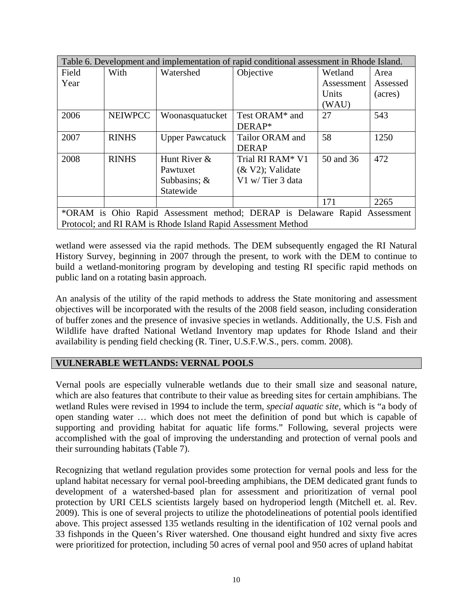| Table 6. Development and implementation of rapid conditional assessment in Rhode Island. |                |                        |                      |            |          |
|------------------------------------------------------------------------------------------|----------------|------------------------|----------------------|------------|----------|
| Field                                                                                    | With           | Watershed              | Objective            | Wetland    | Area     |
| Year                                                                                     |                |                        |                      | Assessment | Assessed |
|                                                                                          |                |                        |                      | Units      | (acres)  |
|                                                                                          |                |                        |                      | (WAU)      |          |
| 2006                                                                                     | <b>NEIWPCC</b> | Woonasquatucket        | Test ORAM* and       | 27         | 543      |
|                                                                                          |                |                        | DERAP*               |            |          |
| 2007                                                                                     | <b>RINHS</b>   | <b>Upper Pawcatuck</b> | Tailor ORAM and      | 58         | 1250     |
|                                                                                          |                |                        | <b>DERAP</b>         |            |          |
| 2008                                                                                     | <b>RINHS</b>   | Hunt River &           | Trial RI RAM* V1     | 50 and 36  | 472      |
|                                                                                          |                | Pawtuxet               | $(\& V2)$ ; Validate |            |          |
|                                                                                          |                | Subbasins; $\&$        | V1 w/Tier 3 data     |            |          |
|                                                                                          |                | Statewide              |                      |            |          |
|                                                                                          |                |                        |                      | 171        | 2265     |
| *ORAM is Ohio Rapid Assessment method; DERAP is Delaware Rapid Assessment                |                |                        |                      |            |          |
| Protocol; and RI RAM is Rhode Island Rapid Assessment Method                             |                |                        |                      |            |          |

wetland were assessed via the rapid methods. The DEM subsequently engaged the RI Natural History Survey, beginning in 2007 through the present, to work with the DEM to continue to build a wetland-monitoring program by developing and testing RI specific rapid methods on public land on a rotating basin approach.

An analysis of the utility of the rapid methods to address the State monitoring and assessment objectives will be incorporated with the results of the 2008 field season, including consideration of buffer zones and the presence of invasive species in wetlands. Additionally, the U.S. Fish and Wildlife have drafted National Wetland Inventory map updates for Rhode Island and their availability is pending field checking (R. Tiner, U.S.F.W.S., pers. comm. 2008).

## **VULNERABLE WETLANDS: VERNAL POOLS**

Vernal pools are especially vulnerable wetlands due to their small size and seasonal nature, which are also features that contribute to their value as breeding sites for certain amphibians. The wetland Rules were revised in 1994 to include the term, *special aquatic site,* which is "a body of open standing water … which does not meet the definition of pond but which is capable of supporting and providing habitat for aquatic life forms." Following, several projects were accomplished with the goal of improving the understanding and protection of vernal pools and their surrounding habitats (Table 7).

Recognizing that wetland regulation provides some protection for vernal pools and less for the upland habitat necessary for vernal pool-breeding amphibians, the DEM dedicated grant funds to development of a watershed-based plan for assessment and prioritization of vernal pool protection by URI CELS scientists largely based on hydroperiod length (Mitchell et. al. Rev. 2009). This is one of several projects to utilize the photodelineations of potential pools identified above. This project assessed 135 wetlands resulting in the identification of 102 vernal pools and 33 fishponds in the Queen's River watershed. One thousand eight hundred and sixty five acres were prioritized for protection, including 50 acres of vernal pool and 950 acres of upland habitat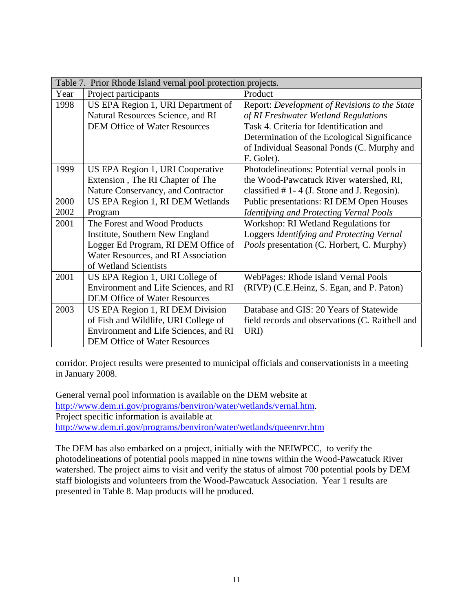|      | Table 7. Prior Rhode Island vernal pool protection projects. |                                                 |  |
|------|--------------------------------------------------------------|-------------------------------------------------|--|
| Year | Project participants                                         | Product                                         |  |
| 1998 | US EPA Region 1, URI Department of                           | Report: Development of Revisions to the State   |  |
|      | Natural Resources Science, and RI                            | of RI Freshwater Wetland Regulations            |  |
|      | <b>DEM Office of Water Resources</b>                         | Task 4. Criteria for Identification and         |  |
|      |                                                              | Determination of the Ecological Significance    |  |
|      |                                                              | of Individual Seasonal Ponds (C. Murphy and     |  |
|      |                                                              | F. Golet).                                      |  |
| 1999 | US EPA Region 1, URI Cooperative                             | Photodelineations: Potential vernal pools in    |  |
|      | Extension, The RI Chapter of The                             | the Wood-Pawcatuck River watershed, RI,         |  |
|      | Nature Conservancy, and Contractor                           | classified $# 1 - 4$ (J. Stone and J. Regosin). |  |
| 2000 | US EPA Region 1, RI DEM Wetlands                             | Public presentations: RI DEM Open Houses        |  |
| 2002 | Program                                                      | <b>Identifying and Protecting Vernal Pools</b>  |  |
| 2001 | The Forest and Wood Products                                 | Workshop: RI Wetland Regulations for            |  |
|      | Institute, Southern New England                              | Loggers Identifying and Protecting Vernal       |  |
|      | Logger Ed Program, RI DEM Office of                          | Pools presentation (C. Horbert, C. Murphy)      |  |
|      | Water Resources, and RI Association                          |                                                 |  |
|      | of Wetland Scientists                                        |                                                 |  |
| 2001 | US EPA Region 1, URI College of                              | WebPages: Rhode Island Vernal Pools             |  |
|      | Environment and Life Sciences, and RI                        | (RIVP) (C.E.Heinz, S. Egan, and P. Paton)       |  |
|      | <b>DEM Office of Water Resources</b>                         |                                                 |  |
| 2003 | US EPA Region 1, RI DEM Division                             | Database and GIS: 20 Years of Statewide         |  |
|      | of Fish and Wildlife, URI College of                         | field records and observations (C. Raithell and |  |
|      | Environment and Life Sciences, and RI                        | URI)                                            |  |
|      | <b>DEM Office of Water Resources</b>                         |                                                 |  |

corridor. Project results were presented to municipal officials and conservationists in a meeting in January 2008.

General vernal pool information is available on the DEM website at http://www.dem.ri.gov/programs/benviron/water/wetlands/vernal.htm. Project specific information is available at http://www.dem.ri.gov/programs/benviron/water/wetlands/queenrvr.htm

The DEM has also embarked on a project, initially with the NEIWPCC, to verify the photodelineations of potential pools mapped in nine towns within the Wood-Pawcatuck River watershed. The project aims to visit and verify the status of almost 700 potential pools by DEM staff biologists and volunteers from the Wood-Pawcatuck Association. Year 1 results are presented in Table 8. Map products will be produced.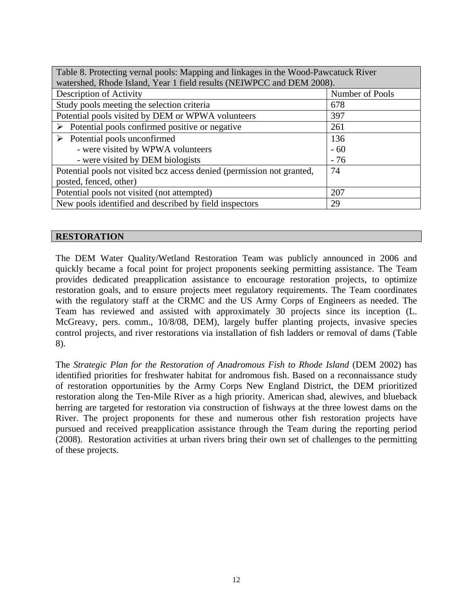| Table 8. Protecting vernal pools: Mapping and linkages in the Wood-Pawcatuck River<br>watershed, Rhode Island, Year 1 field results (NEIWPCC and DEM 2008). |       |  |
|-------------------------------------------------------------------------------------------------------------------------------------------------------------|-------|--|
| Description of Activity<br>Number of Pools                                                                                                                  |       |  |
| Study pools meeting the selection criteria                                                                                                                  | 678   |  |
| Potential pools visited by DEM or WPWA volunteers                                                                                                           | 397   |  |
| $\triangleright$ Potential pools confirmed positive or negative                                                                                             | 261   |  |
| $\triangleright$ Potential pools unconfirmed                                                                                                                | 136   |  |
| - were visited by WPWA volunteers                                                                                                                           | $-60$ |  |
| - were visited by DEM biologists                                                                                                                            | $-76$ |  |
| Potential pools not visited bcz access denied (permission not granted,                                                                                      | 74    |  |
| posted, fenced, other)                                                                                                                                      |       |  |
| Potential pools not visited (not attempted)                                                                                                                 | 207   |  |
| New pools identified and described by field inspectors<br>29                                                                                                |       |  |

## **RESTORATION**

The DEM Water Quality/Wetland Restoration Team was publicly announced in 2006 and quickly became a focal point for project proponents seeking permitting assistance. The Team provides dedicated preapplication assistance to encourage restoration projects, to optimize restoration goals, and to ensure projects meet regulatory requirements. The Team coordinates with the regulatory staff at the CRMC and the US Army Corps of Engineers as needed. The Team has reviewed and assisted with approximately 30 projects since its inception (L. McGreavy, pers. comm., 10/8/08, DEM), largely buffer planting projects, invasive species control projects, and river restorations via installation of fish ladders or removal of dams (Table 8).

The *Strategic Plan for the Restoration of Anadromous Fish to Rhode Island* (DEM 2002) has identified priorities for freshwater habitat for andromous fish. Based on a reconnaissance study of restoration opportunities by the Army Corps New England District, the DEM prioritized restoration along the Ten-Mile River as a high priority. American shad, alewives, and blueback herring are targeted for restoration via construction of fishways at the three lowest dams on the River. The project proponents for these and numerous other fish restoration projects have pursued and received preapplication assistance through the Team during the reporting period (2008). Restoration activities at urban rivers bring their own set of challenges to the permitting of these projects.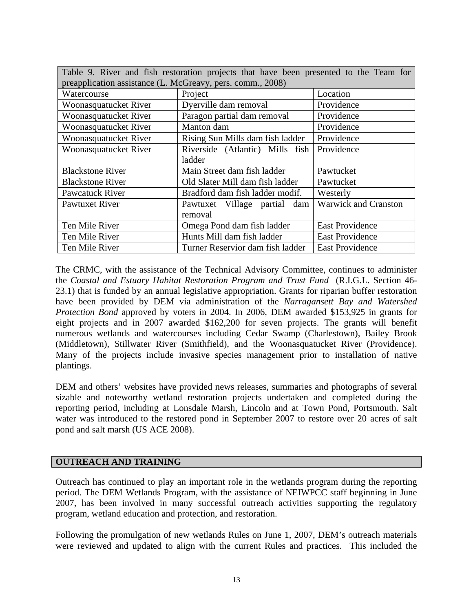| Table 9. River and fish restoration projects that have been presented to the Team for |                                  |                             |  |
|---------------------------------------------------------------------------------------|----------------------------------|-----------------------------|--|
| preapplication assistance (L. McGreavy, pers. comm., 2008)                            |                                  |                             |  |
| Watercourse                                                                           | Project                          | Location                    |  |
| Woonasquatucket River                                                                 | Dyerville dam removal            | Providence                  |  |
| Woonasquatucket River                                                                 | Paragon partial dam removal      | Providence                  |  |
| Woonasquatucket River                                                                 | Manton dam                       | Providence                  |  |
| Woonasquatucket River                                                                 | Rising Sun Mills dam fish ladder | Providence                  |  |
| Woonasquatucket River                                                                 | Riverside (Atlantic) Mills fish  | Providence                  |  |
|                                                                                       | ladder                           |                             |  |
| <b>Blackstone River</b>                                                               | Main Street dam fish ladder      | Pawtucket                   |  |
| <b>Blackstone River</b>                                                               | Old Slater Mill dam fish ladder  | Pawtucket                   |  |
| <b>Pawcatuck River</b>                                                                | Bradford dam fish ladder modif.  | Westerly                    |  |
| Pawtuxet River                                                                        | Pawtuxet Village partial dam     | <b>Warwick and Cranston</b> |  |
|                                                                                       | removal                          |                             |  |
| Ten Mile River                                                                        | Omega Pond dam fish ladder       | <b>East Providence</b>      |  |
| Ten Mile River                                                                        | Hunts Mill dam fish ladder       | <b>East Providence</b>      |  |
| Ten Mile River                                                                        | Turner Reservior dam fish ladder | <b>East Providence</b>      |  |

The CRMC, with the assistance of the Technical Advisory Committee, continues to administer the *Coastal and Estuary Habitat Restoration Program and Trust Fund* (R.I.G.L. Section 46- 23.1) that is funded by an annual legislative appropriation. Grants for riparian buffer restoration have been provided by DEM via administration of the *Narragansett Bay and Watershed Protection Bond* approved by voters in 2004. In 2006, DEM awarded \$153,925 in grants for eight projects and in 2007 awarded \$162,200 for seven projects. The grants will benefit numerous wetlands and watercourses including Cedar Swamp (Charlestown), Bailey Brook (Middletown), Stillwater River (Smithfield), and the Woonasquatucket River (Providence). Many of the projects include invasive species management prior to installation of native plantings.

DEM and others' websites have provided news releases, summaries and photographs of several sizable and noteworthy wetland restoration projects undertaken and completed during the reporting period, including at Lonsdale Marsh, Lincoln and at Town Pond, Portsmouth. Salt water was introduced to the restored pond in September 2007 to restore over 20 acres of salt pond and salt marsh (US ACE 2008).

## **OUTREACH AND TRAINING**

Outreach has continued to play an important role in the wetlands program during the reporting period. The DEM Wetlands Program, with the assistance of NEIWPCC staff beginning in June 2007, has been involved in many successful outreach activities supporting the regulatory program, wetland education and protection, and restoration.

Following the promulgation of new wetlands Rules on June 1, 2007, DEM's outreach materials were reviewed and updated to align with the current Rules and practices. This included the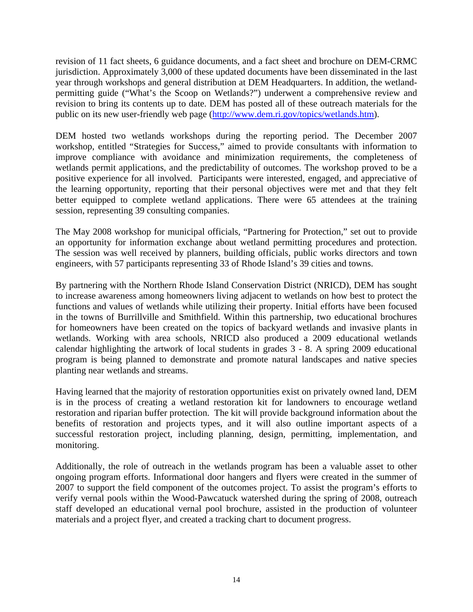revision of 11 fact sheets, 6 guidance documents, and a fact sheet and brochure on DEM-CRMC jurisdiction. Approximately 3,000 of these updated documents have been disseminated in the last year through workshops and general distribution at DEM Headquarters. In addition, the wetlandpermitting guide ("What's the Scoop on Wetlands?") underwent a comprehensive review and revision to bring its contents up to date. DEM has posted all of these outreach materials for the public on its new user-friendly web page (http://www.dem.ri.gov/topics/wetlands.htm).

DEM hosted two wetlands workshops during the reporting period. The December 2007 workshop, entitled "Strategies for Success," aimed to provide consultants with information to improve compliance with avoidance and minimization requirements, the completeness of wetlands permit applications, and the predictability of outcomes. The workshop proved to be a positive experience for all involved. Participants were interested, engaged, and appreciative of the learning opportunity, reporting that their personal objectives were met and that they felt better equipped to complete wetland applications. There were 65 attendees at the training session, representing 39 consulting companies.

The May 2008 workshop for municipal officials, "Partnering for Protection," set out to provide an opportunity for information exchange about wetland permitting procedures and protection. The session was well received by planners, building officials, public works directors and town engineers, with 57 participants representing 33 of Rhode Island's 39 cities and towns.

By partnering with the Northern Rhode Island Conservation District (NRICD), DEM has sought to increase awareness among homeowners living adjacent to wetlands on how best to protect the functions and values of wetlands while utilizing their property. Initial efforts have been focused in the towns of Burrillville and Smithfield. Within this partnership, two educational brochures for homeowners have been created on the topics of backyard wetlands and invasive plants in wetlands. Working with area schools, NRICD also produced a 2009 educational wetlands calendar highlighting the artwork of local students in grades 3 - 8. A spring 2009 educational program is being planned to demonstrate and promote natural landscapes and native species planting near wetlands and streams.

Having learned that the majority of restoration opportunities exist on privately owned land, DEM is in the process of creating a wetland restoration kit for landowners to encourage wetland restoration and riparian buffer protection. The kit will provide background information about the benefits of restoration and projects types, and it will also outline important aspects of a successful restoration project, including planning, design, permitting, implementation, and monitoring.

Additionally, the role of outreach in the wetlands program has been a valuable asset to other ongoing program efforts. Informational door hangers and flyers were created in the summer of 2007 to support the field component of the outcomes project. To assist the program's efforts to verify vernal pools within the Wood-Pawcatuck watershed during the spring of 2008, outreach staff developed an educational vernal pool brochure, assisted in the production of volunteer materials and a project flyer, and created a tracking chart to document progress.